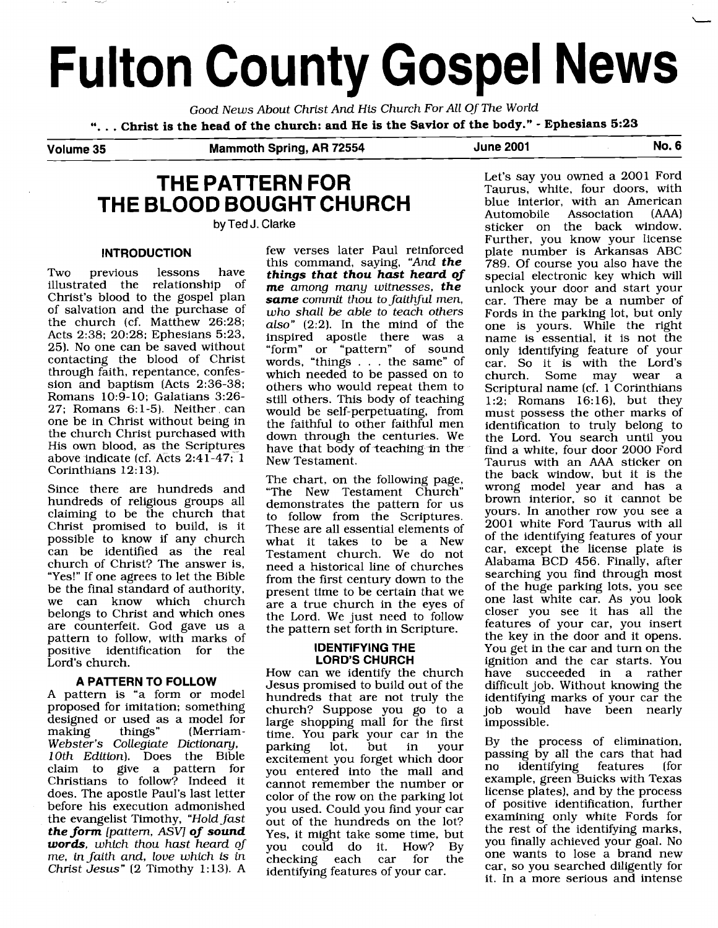# **Fulton County Gospel News**

Good News About Christ And His Church For All Of The World ". . . **Christ is the head of the church: and He is the Savior of the body."** - **Ephesians 5:23** 

**Volume 35 Mammoth Spring, AR 72554 June 2001 No. 6** 

### **THE PATTERN FOR THE BLOOD BOUGHT CHURCH**

**by Ted J. Clarke** 

### **INTRODUCTION**

Two previous lessons have<br>illustrated the relationship of illustrated the relationship Christ's blood to the gospel plan of salvation and the purchase of the church (cf. Matthew 26:28; Acts 2:38; 20:28; Ephesians 5:23, 25). No one can be saved without contacting the blood of Christ through faith, repentance, confession and baptism (Acts 2:36-38; Romans 10:9-10; Galatians 3:26- $27:$  Romans  $6:1-5$ ). Neither can one be in Christ without being in the church Christ purchased with His own blood, as the Scriptures above indicate (cf. Acts 2:41-47; 1 Corinthians 12: 13).

Since there are hundreds and hundreds of religious groups all claiming to be the church that Christ promised to build, is it possible to know if any church can be identified as the real church of Christ? The answer is, "Yes!" If one agrees to let the Bible be the final standard of authority, we can know which church belongs to Christ and which ones are counterfeit. God gave us a pattern to follow, with marks of positive identification for the Lord's church.

### **A PATTERN TO FOLLOW**

A pattern is "a form or model proposed for imitation; something designed or used as a model for<br>making things" (Merriam-(Merriam-Webster's Collegiate Dictionary, 10th Edition). Does the Bible claim to give a pattern for Christians to follow? Indeed it does. The apostle Paul's last letter before his execution admonished the evangelist Timothy, "Hold fast *the form* [pattern, ASV] *of sound words,* which thou hast heard of me, in faith and, love which is in Christ Jesus" (2 Timothy 1:13). A

few verses later Paul reinforced this command, saying, "And *the things that thou hast heard of me* among many witnesses, *the same* commit thou to faithful men, who shall be able to teach others also" (2:2]. In the mind of the inspired apostle there was a "form" or "pattern" of sound words, "things . . . the same" of which needed to be passed on to others who would repeat them to still others. This body of teaching would be self-perpetuating, from the faithful to other faithful men down through the centuries. We have that body **of** teaching in **thy**  New Testament.

The chart, on the following page, "The New Testament Church" demonstrates the pattern for us to follow from the Scriptures. These are all essential elements of what it takes to be a New Testament church. We do not need a historical line of churches from the first century down to the present time to be certain that we are a true church in the eyes of the Lord. We just need to follow the pattern set forth in Scripture.

### **IDENTIFYING THE LORD'S CHURCH**

How can we identify the church Jesus promised to build out of the hundreds that are not truly the church? Suppose you go to a large shopping mall for the first time. You park your car in the<br>parking lot, but in your parking lot, but in your excitement you forget which door you entered into the mall and cannot remember the number or color of the row on the parking lot you used. Could you find your car out of the hundreds on the lot? Yes, it might take some time, but<br>vou could do it. How? By you could do it. How? By  $checking$  each car for identifying features of your car.

Let's say you owned a 2001 Ford Taurus, white, four doors, with blue interior, with an American<br>Automobile Association (AAA) Association sticker on the back window. Further, you know your license plate number is Arkansas ABC 789. Of course you also have the special electronic key which will unlock your door and start your car. There may be a number of Fords in the parking lot, but only one is yours. While the right name is essential, it is not the only identifying feature of your car. So it is with the Lord's<br>church Some may wear a church. Some may wear Scriptural name (cf. 1 Corinthians 1:2; Romans 16:16), but they must possess the other marks of identification to truly belong to the Lord. You search until you find a white, four door 2000 Ford Taurus with an AAA sticker on the back window, but it is the wrong model year and has a brown interior, so it cannot be yours. In another row you see a 2001 white Ford Taurus with all of the identifying features of your car, except the license plate is Alabama BCD 456. Finally, after searching you find through most of the huge parking lots, you see one last white car. As you look closer you see it has all the features of your car, you insert the key in the door and it opens. You get in the car and turn on the ignition and the car starts. You have succeeded in a rather difficult job. Without knowing the identifying marks of your car the job would have been nearly impossible.

By the process of elimination, passing by all the cars that had no identifying features (for example, green Buicks with Texas license plates), and by the process of positive identification, further examining only white Fords for the rest of the identifying marks, you finally achieved your goal. No one wants to lose a brand new car, so you searched diligently for it. In a more serious and intense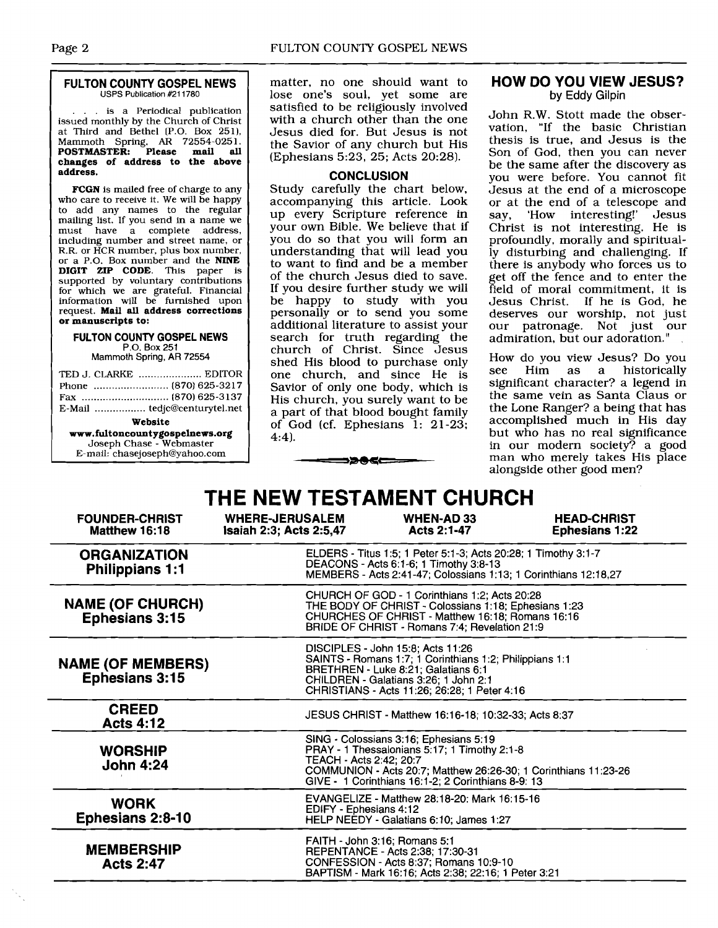#### **FULTON COUNTY GOSPEL NEWS**  USPS Publication #211780

. is a Periodical publication issued monthly by the Church of Christ at Third and Bethel (P.O. Box 251), Mammoth Spring, **AR** 72554-025 1. **POSTMASTER: Please mail all changes of address to the above address.** 

**FCGN** is mailed free of charge to any who care to receive it. We will be happy to add any names to the regular mailing list. If you send in a name we<br>must have a complete address. have a complete address, including number and street name, or R.R. or HCR number, plus box number, or a P.O. Box number and the **NINE DIGIT ZIP CODE.** This paper is supported by voluntary contributions for which we are gratefuI. Financial information wilI be furnished upon request. **Mail all address corrections or manuscripts to:** 

### **FULTON COUNTY GOSPEL NEWS**  P.O. Box 251

Mammoth Spring, AR 72554

| TED J. CLARKE  EDITOR          |  |  |  |
|--------------------------------|--|--|--|
|                                |  |  |  |
|                                |  |  |  |
| E-Mail  tedjc@centurytel.net   |  |  |  |
| Website                        |  |  |  |
| www.fultoncountygospelnews.org |  |  |  |
| Joseph Chase - Webmaster       |  |  |  |
| E-mail: chasejoseph@yahoo.com  |  |  |  |
|                                |  |  |  |

matter, no one should want to lose one's soul, yet some are satisfied to be religiously involved with a church other than the one Jesus died for. But Jesus is not the Savior of any church but His (Ephesians 5:23, 25; Acts 20:281.

### **CONCLUSION**

Study carefully the chart below, accompanying this article. Look up every Scripture reference in your own Bible. We believe that if you do so that you will form an understanding that will lead you to want to find and be a member of the church Jesus died to save. If you desire further study we will be happy to study with you personally or to send you some additional literature to assist your search for truth regarding the church of Christ. Since Jesus shed His blood to purchase only one church, and since He is Savior of only one body, which is His church, you surely want to be a part of that blood bought family of God (cf. Ephesians 1: 21-23; 4:4).

### **HOW DO YOU VIEW JESUS?**  by Eddy Gilpin

John R.W. Stott made the observation, "If the basic Christian thesis is true, and Jesus is the Son of God, then you can never be the same after the discovery as you were before. You cannot fit Jesus at the end of a microscope or at the end of a telescope and<br>say. 'How interesting!' Jesus 'How interesting!' Christ is not interesting. He is profoundly, morally and spiritually disturbing and challenging. If there is anybody who forces us to get off the fence and to enter the field of moral commitment, it is Jesus Christ. If he is God, he deserves our worship, not just our patronage. Not just our admiration, but our adoration. "

How do you view Jesus? Do you Him as a historically significant character? a legend in the same vein as Santa Claus or the Lone Ranger? a being that has accomplished much in His day but who has no real significance in our modern society? a good man who merely takes His place alongside other good men?

### **THE NEW TESTAMENT CHURCH**

╼══⋑⋑⋐⋐══

| <b>FOUNDER-CHRIST</b><br>Matthew 16:18            | <b>WHERE-JERUSALEM</b><br><b>Isaiah 2:3; Acts 2:5,47</b>                                                                                                                                                   | <b>WHEN-AD33</b><br>Acts 2:1-47                                                                                                                                                                                              | <b>HEAD-CHRIST</b><br><b>Ephesians 1:22</b> |  |
|---------------------------------------------------|------------------------------------------------------------------------------------------------------------------------------------------------------------------------------------------------------------|------------------------------------------------------------------------------------------------------------------------------------------------------------------------------------------------------------------------------|---------------------------------------------|--|
| <b>ORGANIZATION</b><br><b>Philippians 1:1</b>     | ELDERS - Titus 1:5; 1 Peter 5:1-3; Acts 20:28; 1 Timothy 3:1-7<br>DEACONS - Acts 6:1-6; 1 Timothy 3:8-13<br>MEMBERS - Acts 2:41-47; Colossians 1:13; 1 Corinthians 12:18,27                                |                                                                                                                                                                                                                              |                                             |  |
| <b>NAME (OF CHURCH)</b><br><b>Ephesians 3:15</b>  | CHURCH OF GOD - 1 Corinthians 1:2; Acts 20:28<br>THE BODY OF CHRIST - Colossians 1:18; Ephesians 1:23<br>CHURCHES OF CHRIST - Matthew 16:18; Romans 16:16<br>BRIDE OF CHRIST - Romans 7:4; Revelation 21:9 |                                                                                                                                                                                                                              |                                             |  |
| <b>NAME (OF MEMBERS)</b><br><b>Ephesians 3:15</b> |                                                                                                                                                                                                            | DISCIPLES - John 15:8; Acts 11:26<br>SAINTS - Romans 1:7; 1 Corinthians 1:2; Philippians 1:1<br>BRETHREN - Luke 8:21; Galatians 6:1<br>CHILDREN - Galatians 3:26; 1 John 2:1<br>CHRISTIANS - Acts 11:26; 26:28; 1 Peter 4:16 |                                             |  |
| <b>CREED</b><br><b>Acts 4:12</b>                  |                                                                                                                                                                                                            | JESUS CHRIST - Matthew 16:16-18; 10:32-33; Acts 8:37                                                                                                                                                                         |                                             |  |
| <b>WORSHIP</b><br><b>John 4:24</b>                | TEACH - Acts 2:42: 20:7                                                                                                                                                                                    | SING - Colossians 3:16; Ephesians 5:19<br>PRAY - 1 Thessalonians 5:17; 1 Timothy 2:1-8<br>COMMUNION - Acts 20:7; Matthew 26:26-30; 1 Corinthians 11:23-26<br>GIVE - 1 Corinthians 16:1-2; 2 Corinthians 8-9: 13              |                                             |  |
| <b>WORK</b><br><b>Ephesians 2:8-10</b>            | EDIFY - Ephesians 4:12                                                                                                                                                                                     | EVANGELIZE - Matthew 28:18-20: Mark 16:15-16<br>HELP NEEDY - Galatians 6:10: James 1:27                                                                                                                                      |                                             |  |
| <b>MEMBERSHIP</b><br><b>Acts 2:47</b>             |                                                                                                                                                                                                            | FAITH - John 3:16; Romans 5:1<br>REPENTANCE - Acts 2:38; 17:30-31<br>CONFESSION - Acts 8:37; Romans 10:9-10<br>BAPTISM - Mark 16:16; Acts 2:38; 22:16; 1 Peter 3:21                                                          |                                             |  |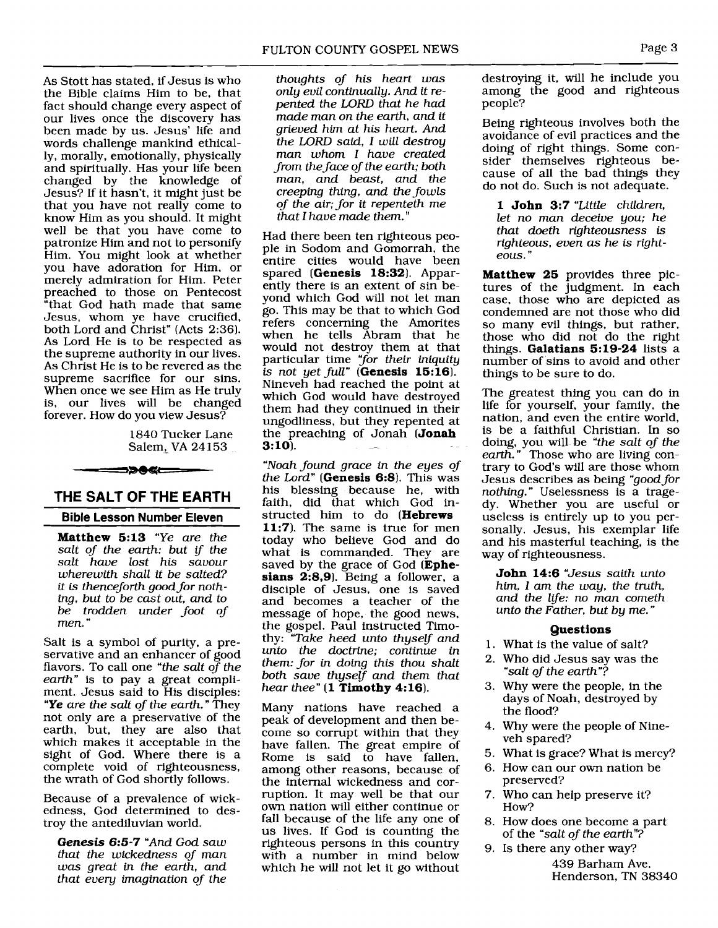As Stott has stated, if Jesus is who the Bible claims Him to be, that fact should change every aspect of our lives once the discovery has been made by us. Jesus' life and words challenge mankind ethically, morally, emotionally, physically and spiritually. Has your life been changed by the knowledge of Jesus? If it hasn't, it might just be that you have not really come to know Him as you should. It might well be that you have come to patronize Him and not to personify Him. You might look at whether you have adoration for Him, or merely admiration for Him. Peter preached to those on Pentecost "that God hath made that same Jesus, whom ye have crucified, both Lord and Christ" (Acts 2:36). As Lord He is to be respected as the supreme authority in our lives. As Christ He is to be revered as the supreme sacrifice for our sins. When once we see Him as He truly is, our lives will be changed forever. How do you view Jesus?

1840 Tucker Lane Salem, VA 24 153 **THE SALT OF 'THE EARTH** -- -

## **THE SALT OF THE EARTH<br>Bible Lesson Number Eleven**

**Matthew 5:13** *"Ye are the salt of the earth: but if the salt have lost his savour wherewith shall it be salted? it is thenceforth good for nothing, but to be cast out, and to be trodden under foot of men.* "

Salt is a symbol of purity, a preservative and an enhancer of good flavors. To call one *"the salt* of *the earth"* is to pay a great compliment. Jesus said to His disciples: *"Ye are the salt of the earth."* They not only are a preservative of the earth, but, they are also that which makes it acceptable in the sight of God. Where there is a complete void of righteousness, the wrath of God shortly follows.

Because of a prevalence of wickedness, God determined to destroy the antediluvian world.

**Genesis 6:5-7** *"And God saw that the wickedness of man was great in the earth, and that every imagination of the* 

*thoughts of his heart was only evil continually. And it repented the* LORD *that he had made man on the earth, and it grieved him at his heart. And the* LORD *said, I will destroy man whom I have created from the face of the earth; both man, and beast, and the creeping thing, and the fowls of the air; for it repenteth me that I have made them."* 

Had there been ten righteous people in Sodom and Gomorrah, the entire cities would have been spared **(Genesis 18:32).** Apparently there is an extent of sin beyond which God will not let man go. This may be that to which God refers concerning the Amorites when he tells Abram that he would not destroy them at that particular time *"for their iniquity is not yet full"* **(Genesis 15:16).**  Nineveh had reached the point at which God would have destroyed them had they continued in their ungodliness, but they repented at the preaching of Jonah **(Jonah 3:10**).

*"Noah found grace in the eyes of*  the Lord" (Genesis 6:8). This was his blessing because he, with faith, did that which God instructed him to do **(Hebrews 11:7).** The same is true for men today who believe God and do what is commanded. They are saved by the grace of God **(Ephesians 2:8,9).** Being a follower, a disciple of Jesus, one is saved and becomes a teacher of the message of hope, the good news, the gospel. Paul instructed Timothy: *"Take heed unto thyself and unto the doctrine; continue in them: for in doing this thou shalt both save thyself and them that hear thee"* **(1 Timothy 4: 16).** 

Many nations have reached a peak of development and then become so corrupt within that they have fallen. The great empire of Rome is said to have fallen, among other reasons, because of the internal wickedness and corruption. It may well be that our own nation will either continue or fall because of the life any one of us lives. If God is counting the righteous persons in this country with a number in mind below which he will not let it go without

destroying it, will he include you among the good and righteous people?

Being righteous involves both the avoidance of evil practices and the doing of right things. Some consider themselves righteous because of all the bad things they do not do. Such is not adequate.

**1 John 3:7** *"Little children, let no man deceive you; he that doeth righteousness is righteous, even as he is righteous.* "

**Matthew 25** provides three pictures of the judgment. In each case, those who are depicted as condemned are not those who did so many evil things, but rather, those who did not do the right things. **Galatians 519-24** lists a number of sins to avoid and other things to be sure to do.

The greatest thing you can do in life for yourself, your family, the nation, and even the entire world, is be a faithful Christian. In so doing, you will be *"the salt of the earth."* Those who are living contrary to God's will are those whom Jesus describes as being *"good for nothing."* Uselessness is a tragedy. Whether you are useful or useless is entirely up to you personally. Jesus, his exemplar life and his masterful teaching, is the way of righteousness.

**John 14:6** *"Jesus saith unto him, I am the way, the truth, and the life: no man cometh unto the Father, but by me.* "

### **Questions**

- 1. What is the value of salt?
- 2. Who did Jesus say was the *"salt of the earth"?*
- 3. Why were the people, in the days of Noah, destroyed by the flood?
- 4. Why were the people of Nineveh spared?
- 5. What is grace? What is mercy?
- 6. How can our own nation be preserved?
- 7. Who can help preserve it? How?
- 8. How does one become a part of the "salt of the earth"?

9. Is there any other way? 439 Barham Ave. Henderson, TN 38340